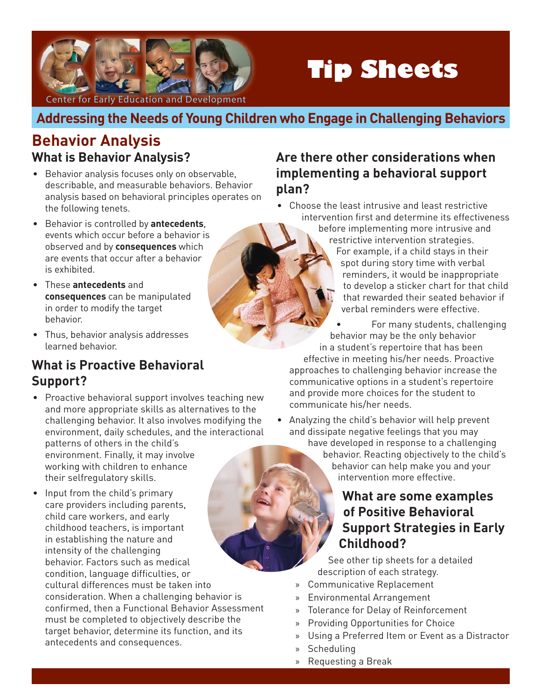

# **Tip Sheets**

Center for Early Education and Development

## **Addressing the Needs of Young Children who Engage in Challenging Behaviors**

# **Behavior Analysis What is Behavior Analysis?**

- Behavior analysis focuses only on observable, describable, and measurable behaviors. Behavior analysis based on behavioral principles operates on the following tenets.
- Behavior is controlled by **antecedents**, events which occur before a behavior is observed and by **consequences** which are events that occur after a behavior is exhibited.
- These **antecedents** and **consequences** can be manipulated in order to modify the target behavior.
- Thus, behavior analysis addresses learned behavior.

## **What is Proactive Behavioral Support?**

• Proactive behavioral support involves teaching new and more appropriate skills as alternatives to the challenging behavior. It also involves modifying the environment, daily schedules, and the interactional patterns of others in the child's

environment. Finally, it may involve working with children to enhance their selfregulatory skills.

• Input from the child's primary care providers including parents, child care workers, and early childhood teachers, is important in establishing the nature and intensity of the challenging behavior. Factors such as medical condition, language difficulties, or cultural differences must be taken into consideration. When a challenging behavior is confirmed, then a Functional Behavior Assessment must be completed to objectively describe the target behavior, determine its function, and its antecedents and consequences.

#### **Are there other considerations when implementing a behavioral support plan?**

- Choose the least intrusive and least restrictive intervention first and determine its effectiveness
	- before implementing more intrusive and restrictive intervention strategies. For example, if a child stays in their spot during story time with verbal reminders, it would be inappropriate to develop a sticker chart for that child that rewarded their seated behavior if verbal reminders were effective.
	- For many students, challenging behavior may be the only behavior in a student's repertoire that has been effective in meeting his/her needs. Proactive approaches to challenging behavior increase the communicative options in a student's repertoire and provide more choices for the student to communicate his/her needs.
	- Analyzing the child's behavior will help prevent and dissipate negative feelings that you may have developed in response to a challenging behavior. Reacting objectively to the child's behavior can help make you and your
		- intervention more effective.

#### **What are some examples of Positive Behavioral Support Strategies in Early Childhood?**

See other tip sheets for a detailed description of each strategy.

- » Communicative Replacement
- » Environmental Arrangement
- » Tolerance for Delay of Reinforcement
- » Providing Opportunities for Choice
- » Using a Preferred Item or Event as a Distractor
- » Scheduling
- » Requesting a Break